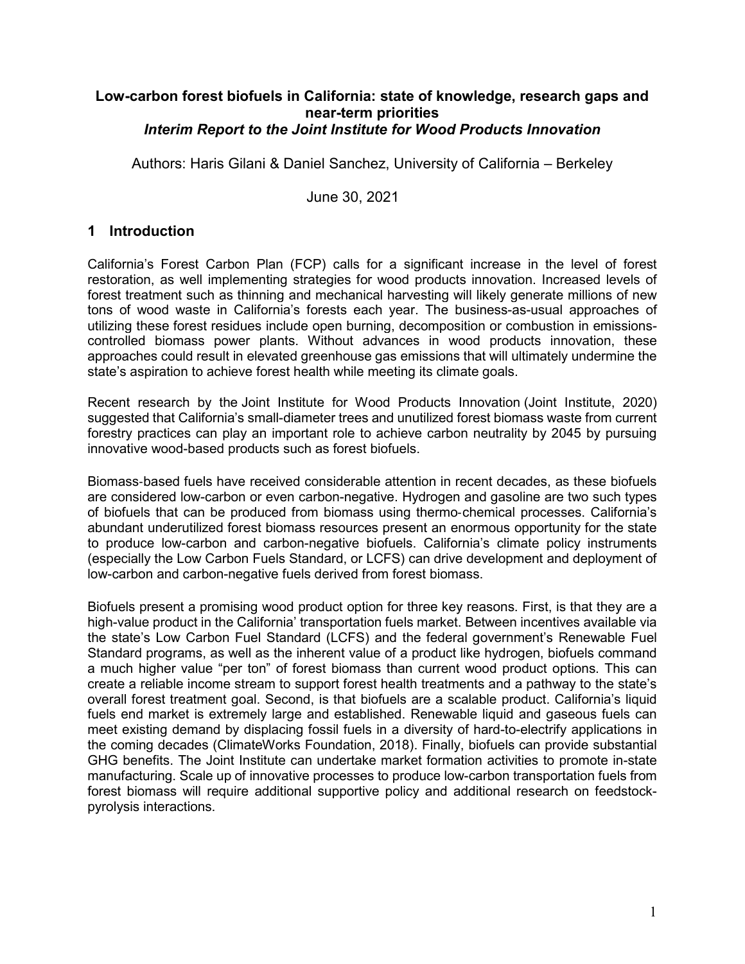#### **Low-carbon forest biofuels in California: state of knowledge, research gaps and near-term priorities** *Interim Report to the Joint Institute for Wood Products Innovation*

Authors: Haris Gilani & Daniel Sanchez, University of California – Berkeley

June 30, 2021

### **1 Introduction**

California's Forest Carbon Plan (FCP) calls for a significant increase in the level of forest restoration, as well implementing strategies for wood products innovation. Increased levels of forest treatment such as thinning and mechanical harvesting will likely generate millions of new tons of wood waste in California's forests each year. The business-as-usual approaches of utilizing these forest residues include open burning, decomposition or combustion in emissionscontrolled biomass power plants. Without advances in wood products innovation, these approaches could result in elevated greenhouse gas emissions that will ultimately undermine the state's aspiration to achieve forest health while meeting its climate goals.

Recent research by the Joint Institute for Wood Products Innovation (Joint Institute, 2020) suggested that California's small-diameter trees and unutilized forest biomass waste from current forestry practices can play an important role to achieve carbon neutrality by 2045 by pursuing innovative wood-based products such as forest biofuels.

Biomass‐based fuels have received considerable attention in recent decades, as these biofuels are considered low-carbon or even carbon-negative. Hydrogen and gasoline are two such types of biofuels that can be produced from biomass using thermo‐chemical processes. California's abundant underutilized forest biomass resources present an enormous opportunity for the state to produce low-carbon and carbon-negative biofuels. California's climate policy instruments (especially the Low Carbon Fuels Standard, or LCFS) can drive development and deployment of low-carbon and carbon-negative fuels derived from forest biomass.

Biofuels present a promising wood product option for three key reasons. First, is that they are a high-value product in the California' transportation fuels market. Between incentives available via the state's Low Carbon Fuel Standard (LCFS) and the federal government's Renewable Fuel Standard programs, as well as the inherent value of a product like hydrogen, biofuels command a much higher value "per ton" of forest biomass than current wood product options. This can create a reliable income stream to support forest health treatments and a pathway to the state's overall forest treatment goal. Second, is that biofuels are a scalable product. California's liquid fuels end market is extremely large and established. Renewable liquid and gaseous fuels can meet existing demand by displacing fossil fuels in a diversity of hard-to-electrify applications in the coming decades (ClimateWorks Foundation, 2018). Finally, biofuels can provide substantial GHG benefits. The Joint Institute can undertake market formation activities to promote in-state manufacturing. Scale up of innovative processes to produce low-carbon transportation fuels from forest biomass will require additional supportive policy and additional research on feedstockpyrolysis interactions.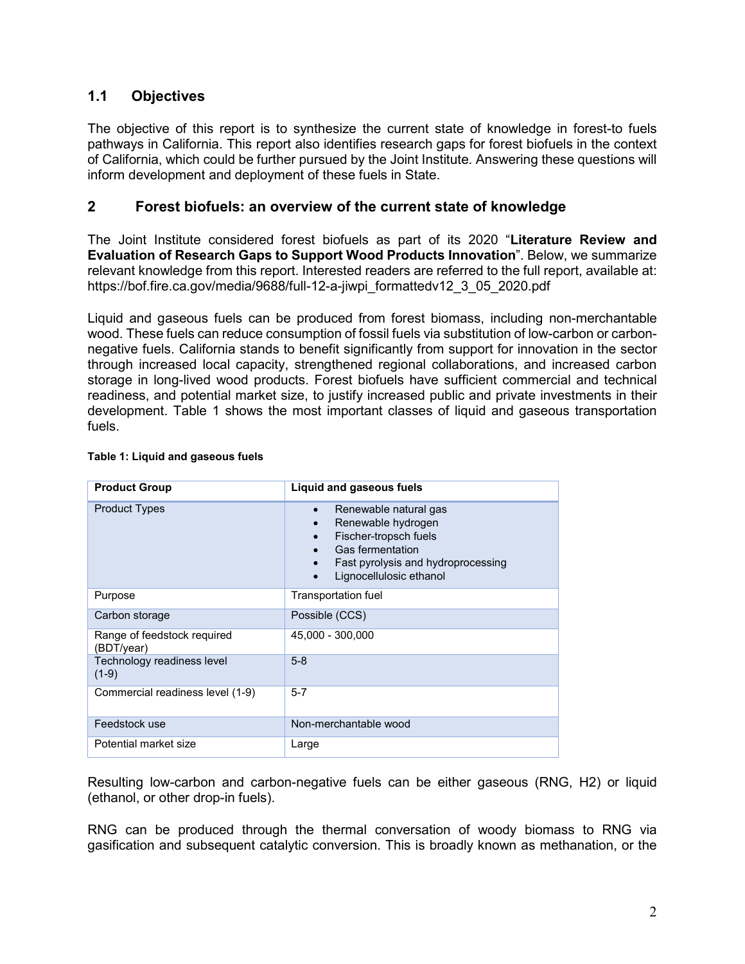### **1.1 Objectives**

The objective of this report is to synthesize the current state of knowledge in forest-to fuels pathways in California. This report also identifies research gaps for forest biofuels in the context of California, which could be further pursued by the Joint Institute. Answering these questions will inform development and deployment of these fuels in State.

#### **2 Forest biofuels: an overview of the current state of knowledge**

The Joint Institute considered forest biofuels as part of its 2020 "**Literature Review and Evaluation of Research Gaps to Support Wood Products Innovation**". Below, we summarize relevant knowledge from this report. Interested readers are referred to the full report, available at: https://bof.fire.ca.gov/media/9688/full-12-a-jiwpi\_formattedv12\_3\_05\_2020.pdf

Liquid and gaseous fuels can be produced from forest biomass, including non-merchantable wood. These fuels can reduce consumption of fossil fuels via substitution of low-carbon or carbonnegative fuels. California stands to benefit significantly from support for innovation in the sector through increased local capacity, strengthened regional collaborations, and increased carbon storage in long-lived wood products. Forest biofuels have sufficient commercial and technical readiness, and potential market size, to justify increased public and private investments in their development. Table 1 shows the most important classes of liquid and gaseous transportation fuels.

| <b>Product Group</b>                      | Liquid and gaseous fuels                                                                                                                                                            |  |  |
|-------------------------------------------|-------------------------------------------------------------------------------------------------------------------------------------------------------------------------------------|--|--|
| <b>Product Types</b>                      | Renewable natural gas<br>$\bullet$<br>Renewable hydrogen<br>Fischer-tropsch fuels<br>$\bullet$<br>Gas fermentation<br>Fast pyrolysis and hydroprocessing<br>Lignocellulosic ethanol |  |  |
| Purpose                                   | Transportation fuel                                                                                                                                                                 |  |  |
| Carbon storage                            | Possible (CCS)                                                                                                                                                                      |  |  |
| Range of feedstock required<br>(BDT/year) | 45,000 - 300,000                                                                                                                                                                    |  |  |
| Technology readiness level<br>$(1-9)$     | $5 - 8$                                                                                                                                                                             |  |  |
| Commercial readiness level (1-9)          | $5 - 7$                                                                                                                                                                             |  |  |
| Feedstock use                             | Non-merchantable wood                                                                                                                                                               |  |  |
| Potential market size                     | Large                                                                                                                                                                               |  |  |

#### **Table 1: Liquid and gaseous fuels**

Resulting low-carbon and carbon-negative fuels can be either gaseous (RNG, H2) or liquid (ethanol, or other drop-in fuels).

RNG can be produced through the thermal conversation of woody biomass to RNG via gasification and subsequent catalytic conversion. This is broadly known as methanation, or the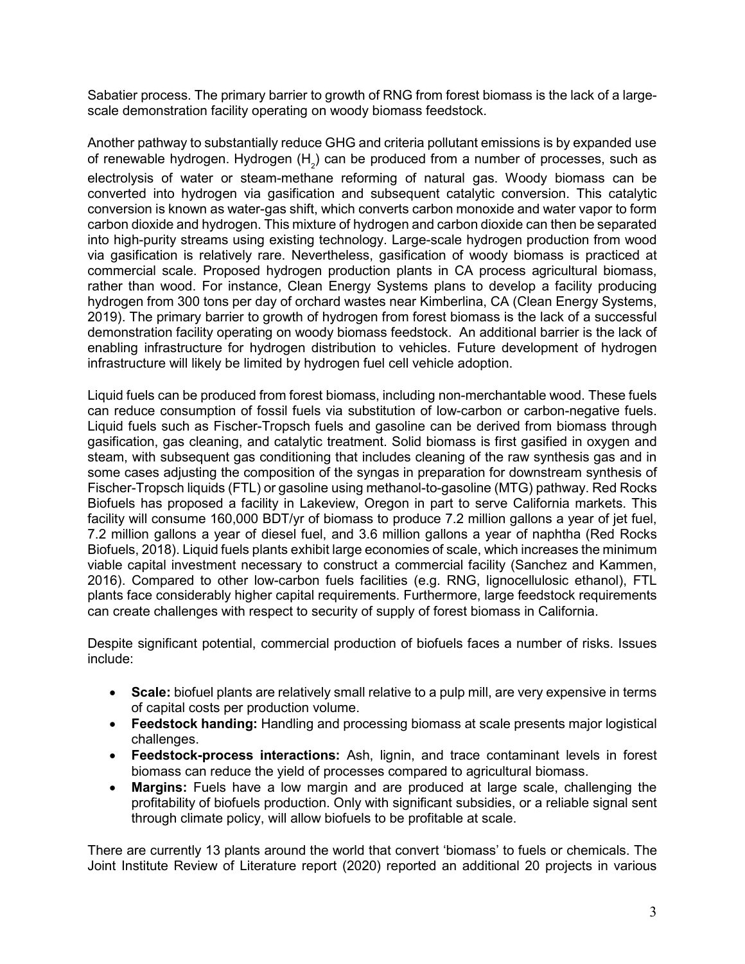Sabatier process. The primary barrier to growth of RNG from forest biomass is the lack of a largescale demonstration facility operating on woody biomass feedstock.

Another pathway to substantially reduce GHG and criteria pollutant emissions is by expanded use of renewable hydrogen. Hydrogen (H $_{_2}$ ) can be produced from a number of processes, such as electrolysis of water or steam-methane reforming of natural gas. Woody biomass can be converted into hydrogen via gasification and subsequent catalytic conversion. This catalytic conversion is known as water-gas shift, which converts carbon monoxide and water vapor to form carbon dioxide and hydrogen. This mixture of hydrogen and carbon dioxide can then be separated into high-purity streams using existing technology. Large-scale hydrogen production from wood via gasification is relatively rare. Nevertheless, gasification of woody biomass is practiced at commercial scale. Proposed hydrogen production plants in CA process agricultural biomass, rather than wood. For instance, Clean Energy Systems plans to develop a facility producing hydrogen from 300 tons per day of orchard wastes near Kimberlina, CA (Clean Energy Systems, 2019). The primary barrier to growth of hydrogen from forest biomass is the lack of a successful demonstration facility operating on woody biomass feedstock. An additional barrier is the lack of enabling infrastructure for hydrogen distribution to vehicles. Future development of hydrogen infrastructure will likely be limited by hydrogen fuel cell vehicle adoption.

Liquid fuels can be produced from forest biomass, including non-merchantable wood. These fuels can reduce consumption of fossil fuels via substitution of low-carbon or carbon-negative fuels. Liquid fuels such as Fischer-Tropsch fuels and gasoline can be derived from biomass through gasification, gas cleaning, and catalytic treatment. Solid biomass is first gasified in oxygen and steam, with subsequent gas conditioning that includes cleaning of the raw synthesis gas and in some cases adjusting the composition of the syngas in preparation for downstream synthesis of Fischer-Tropsch liquids (FTL) or gasoline using methanol-to-gasoline (MTG) pathway. Red Rocks Biofuels has proposed a facility in Lakeview, Oregon in part to serve California markets. This facility will consume 160,000 BDT/yr of biomass to produce 7.2 million gallons a year of jet fuel, 7.2 million gallons a year of diesel fuel, and 3.6 million gallons a year of naphtha (Red Rocks Biofuels, 2018). Liquid fuels plants exhibit large economies of scale, which increases the minimum viable capital investment necessary to construct a commercial facility (Sanchez and Kammen, 2016). Compared to other low-carbon fuels facilities (e.g. RNG, lignocellulosic ethanol), FTL plants face considerably higher capital requirements. Furthermore, large feedstock requirements can create challenges with respect to security of supply of forest biomass in California.

Despite significant potential, commercial production of biofuels faces a number of risks. Issues include:

- **Scale:** biofuel plants are relatively small relative to a pulp mill, are very expensive in terms of capital costs per production volume.
- **Feedstock handing:** Handling and processing biomass at scale presents major logistical challenges.
- **Feedstock-process interactions:** Ash, lignin, and trace contaminant levels in forest biomass can reduce the yield of processes compared to agricultural biomass.
- **Margins:** Fuels have a low margin and are produced at large scale, challenging the profitability of biofuels production. Only with significant subsidies, or a reliable signal sent through climate policy, will allow biofuels to be profitable at scale.

There are currently 13 plants around the world that convert 'biomass' to fuels or chemicals. The Joint Institute Review of Literature report (2020) reported an additional 20 projects in various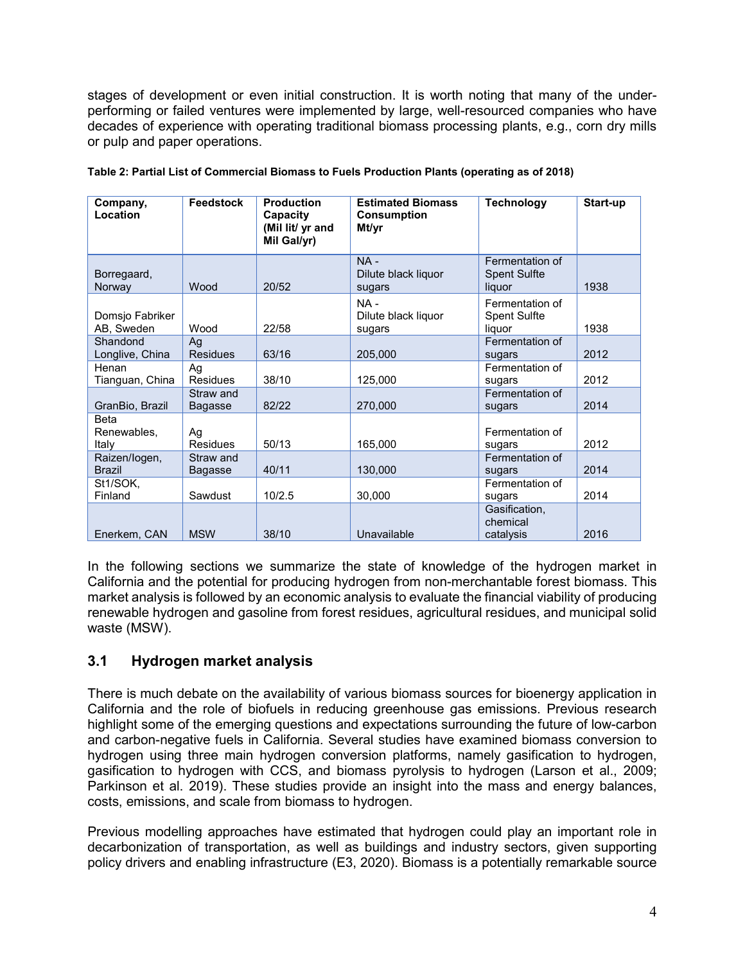stages of development or even initial construction. It is worth noting that many of the underperforming or failed ventures were implemented by large, well-resourced companies who have decades of experience with operating traditional biomass processing plants, e.g., corn dry mills or pulp and paper operations.

| Company,<br>Location                | <b>Feedstock</b>      | <b>Production</b><br>Capacity<br>(Mil lit/ yr and<br>Mil Gal/yr) | <b>Estimated Biomass</b><br><b>Consumption</b><br>Mt/yr | <b>Technology</b>                                | Start-up |
|-------------------------------------|-----------------------|------------------------------------------------------------------|---------------------------------------------------------|--------------------------------------------------|----------|
| Borregaard,<br>Norway               | Wood                  | 20/52                                                            | $NA -$<br>Dilute black liquor<br>sugars                 | Fermentation of<br><b>Spent Sulfte</b><br>liquor | 1938     |
| Domsjo Fabriker<br>AB, Sweden       | Wood                  | 22/58                                                            | NA-<br>Dilute black liquor<br>sugars                    | Fermentation of<br><b>Spent Sulfte</b><br>liauor | 1938     |
| Shandond<br>Longlive, China         | Ag<br><b>Residues</b> | 63/16                                                            | 205,000                                                 | Fermentation of<br>sugars                        | 2012     |
| Henan<br>Tianguan, China            | Ag<br><b>Residues</b> | 38/10                                                            | 125,000                                                 | Fermentation of<br>sugars                        | 2012     |
| GranBio, Brazil                     | Straw and<br>Bagasse  | 82/22                                                            | 270,000                                                 | Fermentation of<br>sugars                        | 2014     |
| <b>Beta</b><br>Renewables,<br>Italy | Ag<br><b>Residues</b> | 50/13                                                            | 165,000                                                 | Fermentation of<br>sugars                        | 2012     |
| Raizen/logen,<br><b>Brazil</b>      | Straw and<br>Bagasse  | 40/11                                                            | 130,000                                                 | Fermentation of<br>sugars                        | 2014     |
| St1/SOK,<br>Finland                 | Sawdust               | 10/2.5                                                           | 30,000                                                  | Fermentation of<br>sugars                        | 2014     |
| Enerkem, CAN                        | <b>MSW</b>            | 38/10                                                            | Unavailable                                             | Gasification,<br>chemical<br>catalysis           | 2016     |

|  | Table 2: Partial List of Commercial Biomass to Fuels Production Plants (operating as of 2018) |  |  |
|--|-----------------------------------------------------------------------------------------------|--|--|
|--|-----------------------------------------------------------------------------------------------|--|--|

In the following sections we summarize the state of knowledge of the hydrogen market in California and the potential for producing hydrogen from non-merchantable forest biomass. This market analysis is followed by an economic analysis to evaluate the financial viability of producing renewable hydrogen and gasoline from forest residues, agricultural residues, and municipal solid waste (MSW).

# **3.1 Hydrogen market analysis**

There is much debate on the availability of various biomass sources for bioenergy application in California and the role of biofuels in reducing greenhouse gas emissions. Previous research highlight some of the emerging questions and expectations surrounding the future of low-carbon and carbon-negative fuels in California. Several studies have examined biomass conversion to hydrogen using three main hydrogen conversion platforms, namely gasification to hydrogen, gasification to hydrogen with CCS, and biomass pyrolysis to hydrogen (Larson et al., 2009; Parkinson et al. 2019). These studies provide an insight into the mass and energy balances, costs, emissions, and scale from biomass to hydrogen.

Previous modelling approaches have estimated that hydrogen could play an important role in decarbonization of transportation, as well as buildings and industry sectors, given supporting policy drivers and enabling infrastructure (E3, 2020). Biomass is a potentially remarkable source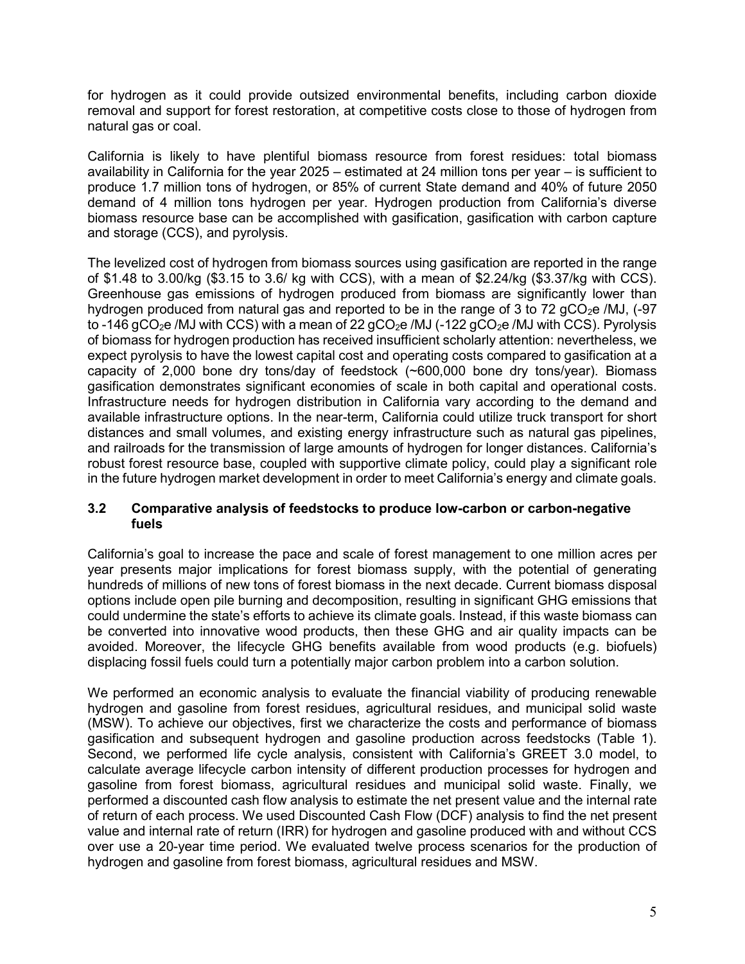for hydrogen as it could provide outsized environmental benefits, including carbon dioxide removal and support for forest restoration, at competitive costs close to those of hydrogen from natural gas or coal.

California is likely to have plentiful biomass resource from forest residues: total biomass availability in California for the year 2025 – estimated at 24 million tons per year – is sufficient to produce 1.7 million tons of hydrogen, or 85% of current State demand and 40% of future 2050 demand of 4 million tons hydrogen per year. Hydrogen production from California's diverse biomass resource base can be accomplished with gasification, gasification with carbon capture and storage (CCS), and pyrolysis.

The levelized cost of hydrogen from biomass sources using gasification are reported in the range of \$1.48 to 3.00/kg (\$3.15 to 3.6/ kg with CCS), with a mean of \$2.24/kg (\$3.37/kg with CCS). Greenhouse gas emissions of hydrogen produced from biomass are significantly lower than hydrogen produced from natural gas and reported to be in the range of 3 to 72 gCO<sub>2</sub>e /MJ, (-97) to -146 gCO<sub>2</sub>e /MJ with CCS) with a mean of 22 gCO<sub>2</sub>e /MJ (-122 gCO<sub>2</sub>e /MJ with CCS). Pyrolysis of biomass for hydrogen production has received insufficient scholarly attention: nevertheless, we expect pyrolysis to have the lowest capital cost and operating costs compared to gasification at a capacity of 2,000 bone dry tons/day of feedstock (~600,000 bone dry tons/year). Biomass gasification demonstrates significant economies of scale in both capital and operational costs. Infrastructure needs for hydrogen distribution in California vary according to the demand and available infrastructure options. In the near-term, California could utilize truck transport for short distances and small volumes, and existing energy infrastructure such as natural gas pipelines, and railroads for the transmission of large amounts of hydrogen for longer distances. California's robust forest resource base, coupled with supportive climate policy, could play a significant role in the future hydrogen market development in order to meet California's energy and climate goals.

#### **3.2 Comparative analysis of feedstocks to produce low-carbon or carbon-negative fuels**

California's goal to increase the pace and scale of forest management to one million acres per year presents major implications for forest biomass supply, with the potential of generating hundreds of millions of new tons of forest biomass in the next decade. Current biomass disposal options include open pile burning and decomposition, resulting in significant GHG emissions that could undermine the state's efforts to achieve its climate goals. Instead, if this waste biomass can be converted into innovative wood products, then these GHG and air quality impacts can be avoided. Moreover, the lifecycle GHG benefits available from wood products (e.g. biofuels) displacing fossil fuels could turn a potentially major carbon problem into a carbon solution.

We performed an economic analysis to evaluate the financial viability of producing renewable hydrogen and gasoline from forest residues, agricultural residues, and municipal solid waste (MSW). To achieve our objectives, first we characterize the costs and performance of biomass gasification and subsequent hydrogen and gasoline production across feedstocks (Table 1). Second, we performed life cycle analysis, consistent with California's GREET 3.0 model, to calculate average lifecycle carbon intensity of different production processes for hydrogen and gasoline from forest biomass, agricultural residues and municipal solid waste. Finally, we performed a discounted cash flow analysis to estimate the net present value and the internal rate of return of each process. We used Discounted Cash Flow (DCF) analysis to find the net present value and internal rate of return (IRR) for hydrogen and gasoline produced with and without CCS over use a 20-year time period. We evaluated twelve process scenarios for the production of hydrogen and gasoline from forest biomass, agricultural residues and MSW.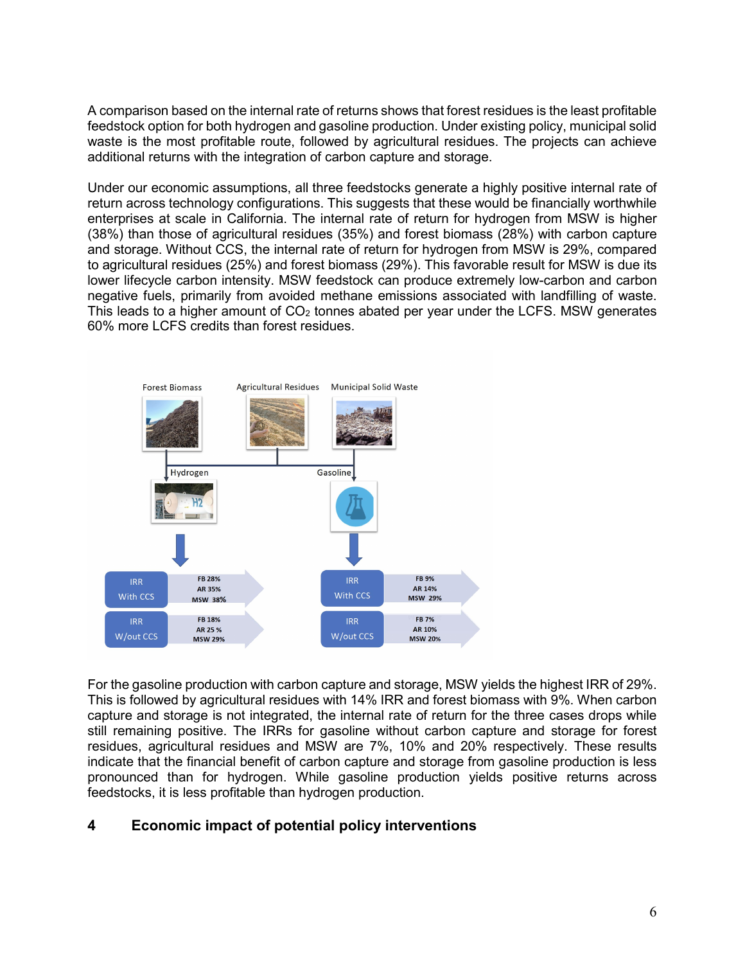A comparison based on the internal rate of returns shows that forest residues is the least profitable feedstock option for both hydrogen and gasoline production. Under existing policy, municipal solid waste is the most profitable route, followed by agricultural residues. The projects can achieve additional returns with the integration of carbon capture and storage.

Under our economic assumptions, all three feedstocks generate a highly positive internal rate of return across technology configurations. This suggests that these would be financially worthwhile enterprises at scale in California. The internal rate of return for hydrogen from MSW is higher (38%) than those of agricultural residues (35%) and forest biomass (28%) with carbon capture and storage. Without CCS, the internal rate of return for hydrogen from MSW is 29%, compared to agricultural residues (25%) and forest biomass (29%). This favorable result for MSW is due its lower lifecycle carbon intensity. MSW feedstock can produce extremely low-carbon and carbon negative fuels, primarily from avoided methane emissions associated with landfilling of waste. This leads to a higher amount of  $CO<sub>2</sub>$  tonnes abated per year under the LCFS. MSW generates 60% more LCFS credits than forest residues.



For the gasoline production with carbon capture and storage, MSW yields the highest IRR of 29%. This is followed by agricultural residues with 14% IRR and forest biomass with 9%. When carbon capture and storage is not integrated, the internal rate of return for the three cases drops while still remaining positive. The IRRs for gasoline without carbon capture and storage for forest residues, agricultural residues and MSW are 7%, 10% and 20% respectively. These results indicate that the financial benefit of carbon capture and storage from gasoline production is less pronounced than for hydrogen. While gasoline production yields positive returns across feedstocks, it is less profitable than hydrogen production.

#### **4 Economic impact of potential policy interventions**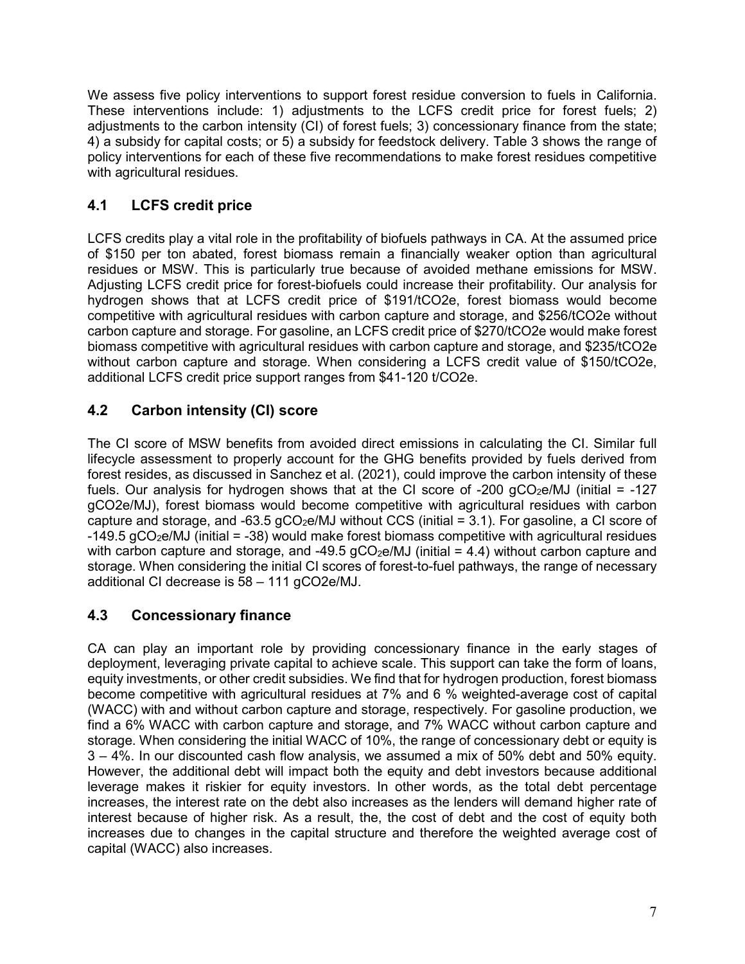We assess five policy interventions to support forest residue conversion to fuels in California. These interventions include: 1) adjustments to the LCFS credit price for forest fuels; 2) adjustments to the carbon intensity (CI) of forest fuels; 3) concessionary finance from the state; 4) a subsidy for capital costs; or 5) a subsidy for feedstock delivery. Table 3 shows the range of policy interventions for each of these five recommendations to make forest residues competitive with agricultural residues.

# **4.1 LCFS credit price**

LCFS credits play a vital role in the profitability of biofuels pathways in CA. At the assumed price of \$150 per ton abated, forest biomass remain a financially weaker option than agricultural residues or MSW. This is particularly true because of avoided methane emissions for MSW. Adjusting LCFS credit price for forest-biofuels could increase their profitability. Our analysis for hydrogen shows that at LCFS credit price of \$191/tCO2e, forest biomass would become competitive with agricultural residues with carbon capture and storage, and \$256/tCO2e without carbon capture and storage. For gasoline, an LCFS credit price of \$270/tCO2e would make forest biomass competitive with agricultural residues with carbon capture and storage, and \$235/tCO2e without carbon capture and storage. When considering a LCFS credit value of \$150/tCO2e, additional LCFS credit price support ranges from \$41-120 t/CO2e.

# **4.2 Carbon intensity (CI) score**

The CI score of MSW benefits from avoided direct emissions in calculating the CI. Similar full lifecycle assessment to properly account for the GHG benefits provided by fuels derived from forest resides, as discussed in Sanchez et al. (2021), could improve the carbon intensity of these fuels. Our analysis for hydrogen shows that at the CI score of -200  $qCO<sub>2</sub>e/MJ$  (initial = -127 gCO2e/MJ), forest biomass would become competitive with agricultural residues with carbon capture and storage, and -63.5  $qCO<sub>2</sub>e/MJ$  without CCS (initial = 3.1). For gasoline, a CI score of  $-149.5$  gCO<sub>2</sub>e/MJ (initial =  $-38$ ) would make forest biomass competitive with agricultural residues with carbon capture and storage, and -49.5  $qCO<sub>2</sub>e/MJ$  (initial = 4.4) without carbon capture and storage. When considering the initial CI scores of forest-to-fuel pathways, the range of necessary additional CI decrease is 58 – 111 gCO2e/MJ.

# **4.3 Concessionary finance**

CA can play an important role by providing concessionary finance in the early stages of deployment, leveraging private capital to achieve scale. This support can take the form of loans, equity investments, or other credit subsidies. We find that for hydrogen production, forest biomass become competitive with agricultural residues at 7% and 6 % weighted-average cost of capital (WACC) with and without carbon capture and storage, respectively. For gasoline production, we find a 6% WACC with carbon capture and storage, and 7% WACC without carbon capture and storage. When considering the initial WACC of 10%, the range of concessionary debt or equity is 3 – 4%. In our discounted cash flow analysis, we assumed a mix of 50% debt and 50% equity. However, the additional debt will impact both the equity and debt investors because additional leverage makes it riskier for equity investors. In other words, as the total debt percentage increases, the interest rate on the debt also increases as the lenders will demand higher rate of interest because of higher risk. As a result, the, the cost of debt and the cost of equity both increases due to changes in the capital structure and therefore the weighted average cost of capital (WACC) also increases.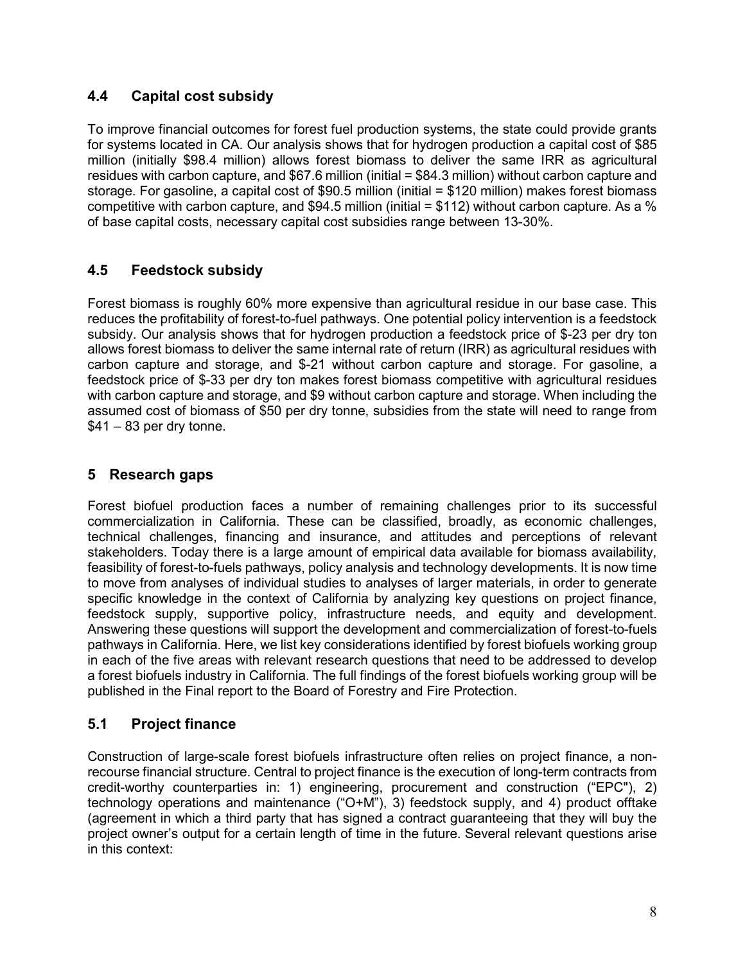# **4.4 Capital cost subsidy**

To improve financial outcomes for forest fuel production systems, the state could provide grants for systems located in CA. Our analysis shows that for hydrogen production a capital cost of \$85 million (initially \$98.4 million) allows forest biomass to deliver the same IRR as agricultural residues with carbon capture, and \$67.6 million (initial = \$84.3 million) without carbon capture and storage. For gasoline, a capital cost of \$90.5 million (initial = \$120 million) makes forest biomass competitive with carbon capture, and \$94.5 million (initial = \$112) without carbon capture. As a % of base capital costs, necessary capital cost subsidies range between 13-30%.

# **4.5 Feedstock subsidy**

Forest biomass is roughly 60% more expensive than agricultural residue in our base case. This reduces the profitability of forest-to-fuel pathways. One potential policy intervention is a feedstock subsidy. Our analysis shows that for hydrogen production a feedstock price of \$-23 per dry ton allows forest biomass to deliver the same internal rate of return (IRR) as agricultural residues with carbon capture and storage, and \$-21 without carbon capture and storage. For gasoline, a feedstock price of \$-33 per dry ton makes forest biomass competitive with agricultural residues with carbon capture and storage, and \$9 without carbon capture and storage. When including the assumed cost of biomass of \$50 per dry tonne, subsidies from the state will need to range from  $$41 - 83$  per dry tonne.

### **5 Research gaps**

Forest biofuel production faces a number of remaining challenges prior to its successful commercialization in California. These can be classified, broadly, as economic challenges, technical challenges, financing and insurance, and attitudes and perceptions of relevant stakeholders. Today there is a large amount of empirical data available for biomass availability, feasibility of forest-to-fuels pathways, policy analysis and technology developments. It is now time to move from analyses of individual studies to analyses of larger materials, in order to generate specific knowledge in the context of California by analyzing key questions on project finance, feedstock supply, supportive policy, infrastructure needs, and equity and development. Answering these questions will support the development and commercialization of forest-to-fuels pathways in California. Here, we list key considerations identified by forest biofuels working group in each of the five areas with relevant research questions that need to be addressed to develop a forest biofuels industry in California. The full findings of the forest biofuels working group will be published in the Final report to the Board of Forestry and Fire Protection.

#### **5.1 Project finance**

Construction of large-scale forest biofuels infrastructure often relies on project finance, a nonrecourse financial structure. Central to project finance is the execution of long-term contracts from credit-worthy counterparties in: 1) engineering, procurement and construction ("EPC"), 2) technology operations and maintenance ("O+M"), 3) feedstock supply, and 4) product offtake (agreement in which a third party that has signed a contract guaranteeing that they will buy the project owner's output for a certain length of time in the future. Several relevant questions arise in this context: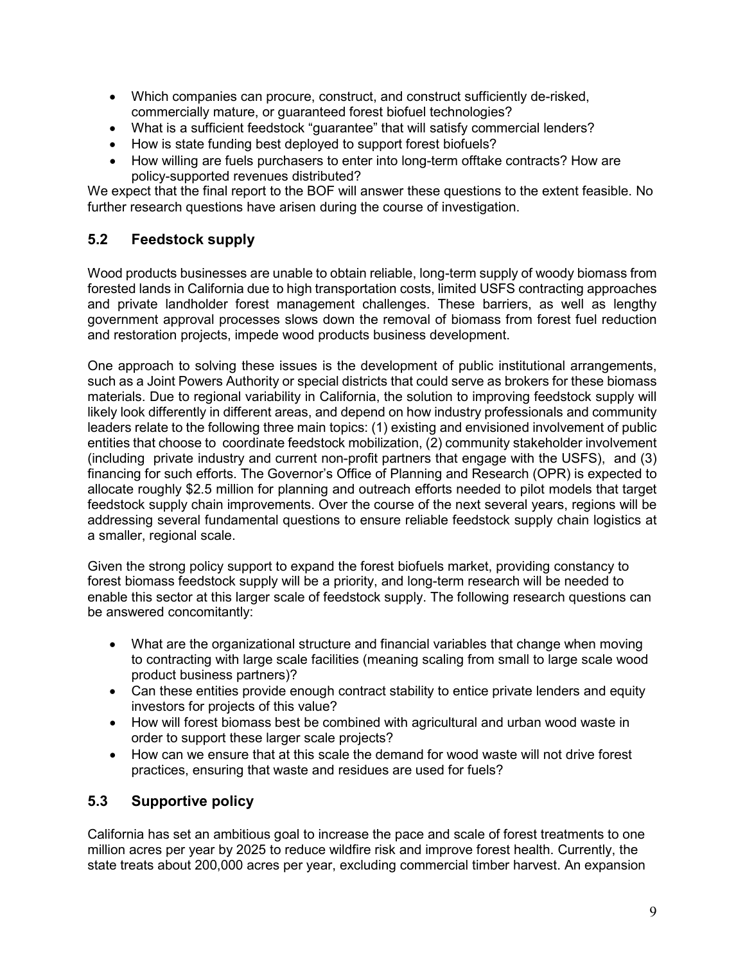- Which companies can procure, construct, and construct sufficiently de-risked, commercially mature, or guaranteed forest biofuel technologies?
- What is a sufficient feedstock "guarantee" that will satisfy commercial lenders?
- How is state funding best deployed to support forest biofuels?
- How willing are fuels purchasers to enter into long-term offtake contracts? How are policy-supported revenues distributed?

We expect that the final report to the BOF will answer these questions to the extent feasible. No further research questions have arisen during the course of investigation.

# **5.2 Feedstock supply**

Wood products businesses are unable to obtain reliable, long-term supply of woody biomass from forested lands in California due to high transportation costs, limited USFS contracting approaches and private landholder forest management challenges. These barriers, as well as lengthy government approval processes slows down the removal of biomass from forest fuel reduction and restoration projects, impede wood products business development.

One approach to solving these issues is the development of public institutional arrangements, such as a Joint Powers Authority or special districts that could serve as brokers for these biomass materials. Due to regional variability in California, the solution to improving feedstock supply will likely look differently in different areas, and depend on how industry professionals and community leaders relate to the following three main topics: (1) existing and envisioned involvement of public entities that choose to coordinate feedstock mobilization, (2) community stakeholder involvement (including private industry and current non-profit partners that engage with the USFS), and (3) financing for such efforts. The Governor's Office of Planning and Research (OPR) is expected to allocate roughly \$2.5 million for planning and outreach efforts needed to pilot models that target feedstock supply chain improvements. Over the course of the next several years, regions will be addressing several fundamental questions to ensure reliable feedstock supply chain logistics at a smaller, regional scale.

Given the strong policy support to expand the forest biofuels market, providing constancy to forest biomass feedstock supply will be a priority, and long-term research will be needed to enable this sector at this larger scale of feedstock supply. The following research questions can be answered concomitantly:

- What are the organizational structure and financial variables that change when moving to contracting with large scale facilities (meaning scaling from small to large scale wood product business partners)?
- Can these entities provide enough contract stability to entice private lenders and equity investors for projects of this value?
- How will forest biomass best be combined with agricultural and urban wood waste in order to support these larger scale projects?
- How can we ensure that at this scale the demand for wood waste will not drive forest practices, ensuring that waste and residues are used for fuels?

# **5.3 Supportive policy**

California has set an ambitious goal to increase the pace and scale of forest treatments to one million acres per year by 2025 to reduce wildfire risk and improve forest health. Currently, the state treats about 200,000 acres per year, excluding commercial timber harvest. An expansion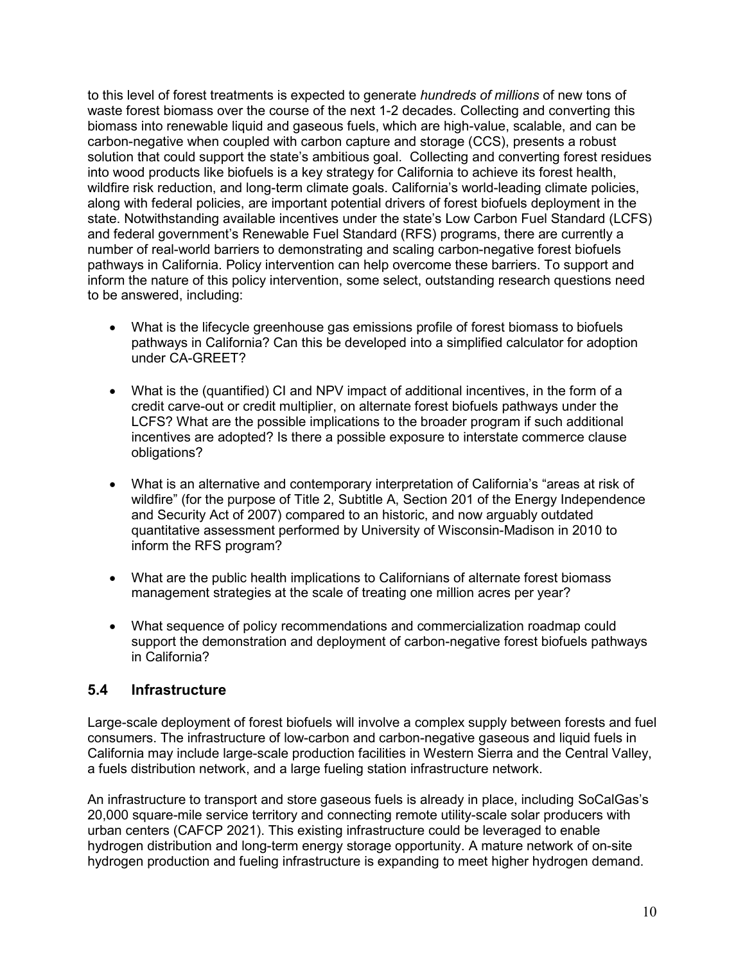to this level of forest treatments is expected to generate *hundreds of millions* of new tons of waste forest biomass over the course of the next 1-2 decades. Collecting and converting this biomass into renewable liquid and gaseous fuels, which are high-value, scalable, and can be carbon-negative when coupled with carbon capture and storage (CCS), presents a robust solution that could support the state's ambitious goal. Collecting and converting forest residues into wood products like biofuels is a key strategy for California to achieve its forest health, wildfire risk reduction, and long-term climate goals. California's world-leading climate policies, along with federal policies, are important potential drivers of forest biofuels deployment in the state. Notwithstanding available incentives under the state's Low Carbon Fuel Standard (LCFS) and federal government's Renewable Fuel Standard (RFS) programs, there are currently a number of real-world barriers to demonstrating and scaling carbon-negative forest biofuels pathways in California. Policy intervention can help overcome these barriers. To support and inform the nature of this policy intervention, some select, outstanding research questions need to be answered, including:

- What is the lifecycle greenhouse gas emissions profile of forest biomass to biofuels pathways in California? Can this be developed into a simplified calculator for adoption under CA-GREET?
- What is the (quantified) CI and NPV impact of additional incentives, in the form of a credit carve-out or credit multiplier, on alternate forest biofuels pathways under the LCFS? What are the possible implications to the broader program if such additional incentives are adopted? Is there a possible exposure to interstate commerce clause obligations?
- What is an alternative and contemporary interpretation of California's "areas at risk of wildfire" (for the purpose of Title 2, Subtitle A, Section 201 of the Energy Independence and Security Act of 2007) compared to an historic, and now arguably outdated quantitative assessment performed by University of Wisconsin-Madison in 2010 to inform the RFS program?
- What are the public health implications to Californians of alternate forest biomass management strategies at the scale of treating one million acres per year?
- What sequence of policy recommendations and commercialization roadmap could support the demonstration and deployment of carbon-negative forest biofuels pathways in California?

# **5.4 Infrastructure**

Large-scale deployment of forest biofuels will involve a complex supply between forests and fuel consumers. The infrastructure of low-carbon and carbon-negative gaseous and liquid fuels in California may include large-scale production facilities in Western Sierra and the Central Valley, a fuels distribution network, and a large fueling station infrastructure network.

An infrastructure to transport and store gaseous fuels is already in place, including SoCalGas's 20,000 square-mile service territory and connecting remote utility-scale solar producers with urban centers (CAFCP 2021). This existing infrastructure could be leveraged to enable hydrogen distribution and long-term energy storage opportunity. A mature network of on-site hydrogen production and fueling infrastructure is expanding to meet higher hydrogen demand.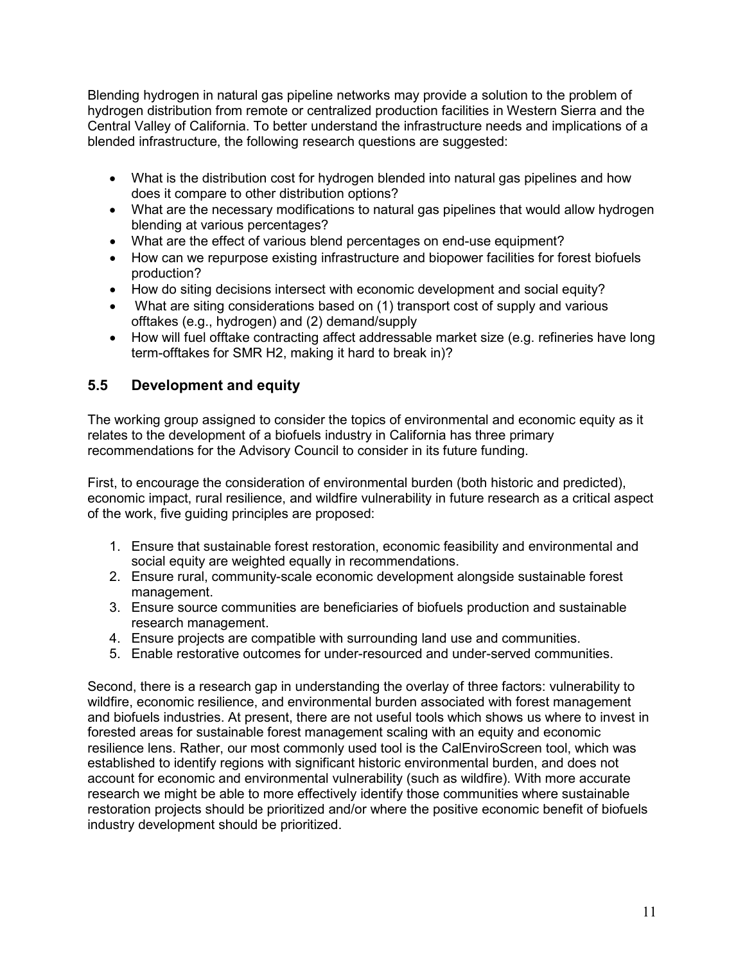Blending hydrogen in natural gas pipeline networks may provide a solution to the problem of hydrogen distribution from remote or centralized production facilities in Western Sierra and the Central Valley of California. To better understand the infrastructure needs and implications of a blended infrastructure, the following research questions are suggested:

- What is the distribution cost for hydrogen blended into natural gas pipelines and how does it compare to other distribution options?
- What are the necessary modifications to natural gas pipelines that would allow hydrogen blending at various percentages?
- What are the effect of various blend percentages on end-use equipment?
- How can we repurpose existing infrastructure and biopower facilities for forest biofuels production?
- How do siting decisions intersect with economic development and social equity?
- What are siting considerations based on (1) transport cost of supply and various offtakes (e.g., hydrogen) and (2) demand/supply
- How will fuel offtake contracting affect addressable market size (e.g. refineries have long term-offtakes for SMR H2, making it hard to break in)?

# **5.5 Development and equity**

The working group assigned to consider the topics of environmental and economic equity as it relates to the development of a biofuels industry in California has three primary recommendations for the Advisory Council to consider in its future funding.

First, to encourage the consideration of environmental burden (both historic and predicted), economic impact, rural resilience, and wildfire vulnerability in future research as a critical aspect of the work, five guiding principles are proposed:

- 1. Ensure that sustainable forest restoration, economic feasibility and environmental and social equity are weighted equally in recommendations.
- 2. Ensure rural, community-scale economic development alongside sustainable forest management.
- 3. Ensure source communities are beneficiaries of biofuels production and sustainable research management.
- 4. Ensure projects are compatible with surrounding land use and communities.
- 5. Enable restorative outcomes for under-resourced and under-served communities.

Second, there is a research gap in understanding the overlay of three factors: vulnerability to wildfire, economic resilience, and environmental burden associated with forest management and biofuels industries. At present, there are not useful tools which shows us where to invest in forested areas for sustainable forest management scaling with an equity and economic resilience lens. Rather, our most commonly used tool is the CalEnviroScreen tool, which was established to identify regions with significant historic environmental burden, and does not account for economic and environmental vulnerability (such as wildfire). With more accurate research we might be able to more effectively identify those communities where sustainable restoration projects should be prioritized and/or where the positive economic benefit of biofuels industry development should be prioritized.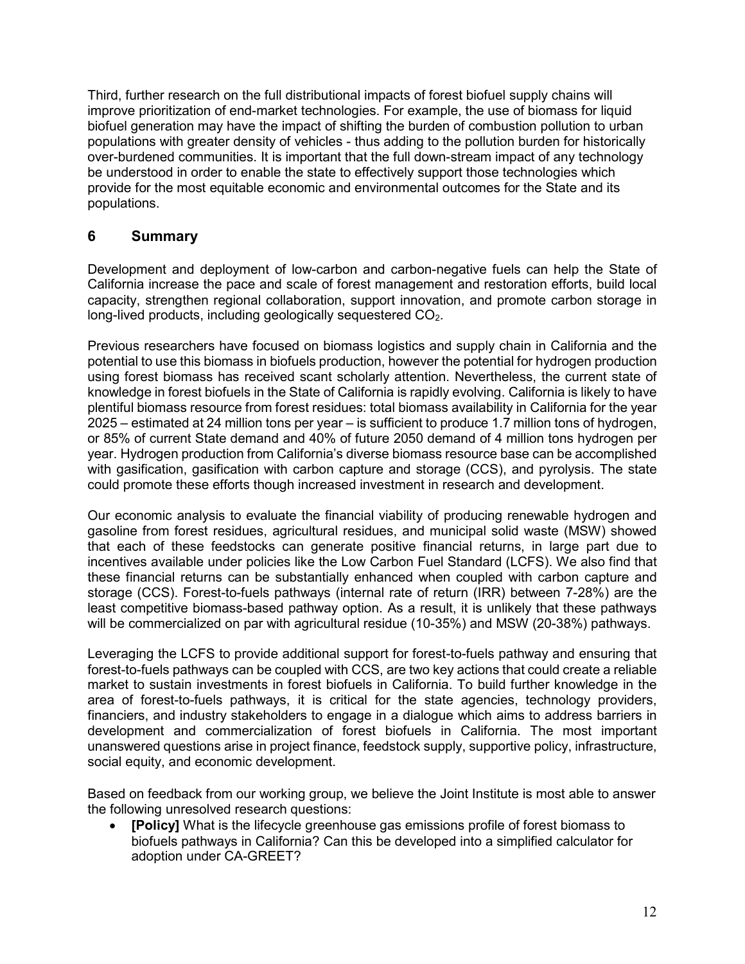Third, further research on the full distributional impacts of forest biofuel supply chains will improve prioritization of end-market technologies. For example, the use of biomass for liquid biofuel generation may have the impact of shifting the burden of combustion pollution to urban populations with greater density of vehicles - thus adding to the pollution burden for historically over-burdened communities. It is important that the full down-stream impact of any technology be understood in order to enable the state to effectively support those technologies which provide for the most equitable economic and environmental outcomes for the State and its populations.

### **6 Summary**

Development and deployment of low-carbon and carbon-negative fuels can help the State of California increase the pace and scale of forest management and restoration efforts, build local capacity, strengthen regional collaboration, support innovation, and promote carbon storage in long-lived products, including geologically sequestered CO<sub>2</sub>.

Previous researchers have focused on biomass logistics and supply chain in California and the potential to use this biomass in biofuels production, however the potential for hydrogen production using forest biomass has received scant scholarly attention. Nevertheless, the current state of knowledge in forest biofuels in the State of California is rapidly evolving. California is likely to have plentiful biomass resource from forest residues: total biomass availability in California for the year 2025 – estimated at 24 million tons per year – is sufficient to produce 1.7 million tons of hydrogen, or 85% of current State demand and 40% of future 2050 demand of 4 million tons hydrogen per year. Hydrogen production from California's diverse biomass resource base can be accomplished with gasification, gasification with carbon capture and storage (CCS), and pyrolysis. The state could promote these efforts though increased investment in research and development.

Our economic analysis to evaluate the financial viability of producing renewable hydrogen and gasoline from forest residues, agricultural residues, and municipal solid waste (MSW) showed that each of these feedstocks can generate positive financial returns, in large part due to incentives available under policies like the Low Carbon Fuel Standard (LCFS). We also find that these financial returns can be substantially enhanced when coupled with carbon capture and storage (CCS). Forest-to-fuels pathways (internal rate of return (IRR) between 7-28%) are the least competitive biomass-based pathway option. As a result, it is unlikely that these pathways will be commercialized on par with agricultural residue (10-35%) and MSW (20-38%) pathways.

Leveraging the LCFS to provide additional support for forest-to-fuels pathway and ensuring that forest-to-fuels pathways can be coupled with CCS, are two key actions that could create a reliable market to sustain investments in forest biofuels in California. To build further knowledge in the area of forest-to-fuels pathways, it is critical for the state agencies, technology providers, financiers, and industry stakeholders to engage in a dialogue which aims to address barriers in development and commercialization of forest biofuels in California. The most important unanswered questions arise in project finance, feedstock supply, supportive policy, infrastructure, social equity, and economic development.

Based on feedback from our working group, we believe the Joint Institute is most able to answer the following unresolved research questions:

• **[Policy]** What is the lifecycle greenhouse gas emissions profile of forest biomass to biofuels pathways in California? Can this be developed into a simplified calculator for adoption under CA-GREET?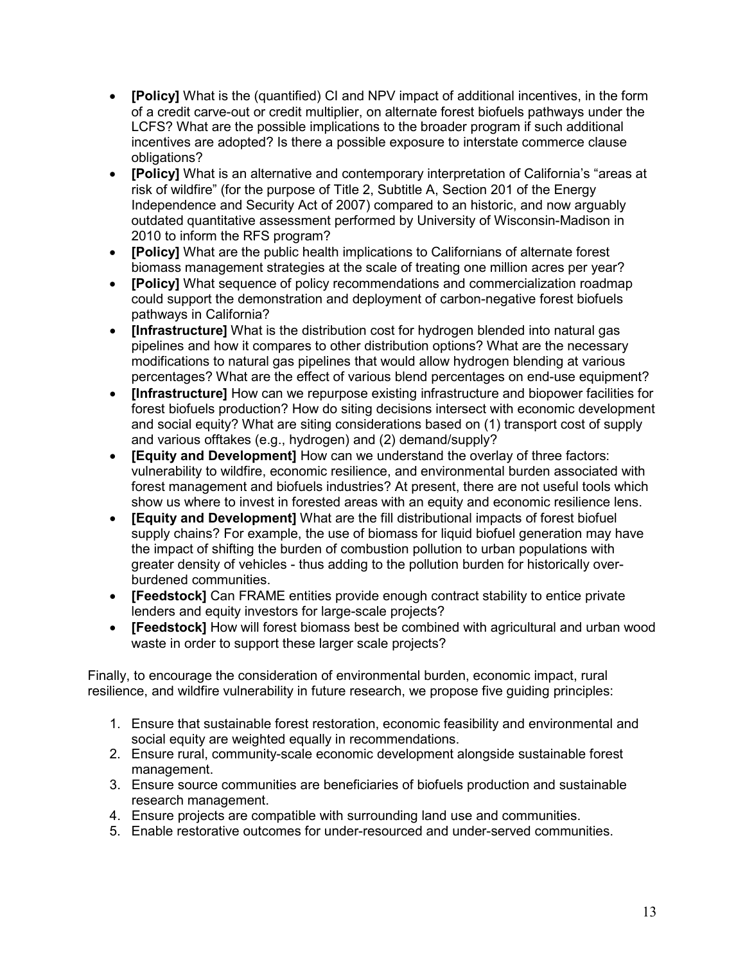- **[Policy]** What is the (quantified) CI and NPV impact of additional incentives, in the form of a credit carve-out or credit multiplier, on alternate forest biofuels pathways under the LCFS? What are the possible implications to the broader program if such additional incentives are adopted? Is there a possible exposure to interstate commerce clause obligations?
- **[Policy]** What is an alternative and contemporary interpretation of California's "areas at risk of wildfire" (for the purpose of Title 2, Subtitle A, Section 201 of the Energy Independence and Security Act of 2007) compared to an historic, and now arguably outdated quantitative assessment performed by University of Wisconsin-Madison in 2010 to inform the RFS program?
- **[Policy]** What are the public health implications to Californians of alternate forest biomass management strategies at the scale of treating one million acres per year?
- **[Policy]** What sequence of policy recommendations and commercialization roadmap could support the demonstration and deployment of carbon-negative forest biofuels pathways in California?
- **[Infrastructure]** What is the distribution cost for hydrogen blended into natural gas pipelines and how it compares to other distribution options? What are the necessary modifications to natural gas pipelines that would allow hydrogen blending at various percentages? What are the effect of various blend percentages on end-use equipment?
- **[Infrastructure]** How can we repurpose existing infrastructure and biopower facilities for forest biofuels production? How do siting decisions intersect with economic development and social equity? What are siting considerations based on (1) transport cost of supply and various offtakes (e.g., hydrogen) and (2) demand/supply?
- **[Equity and Development]** How can we understand the overlay of three factors: vulnerability to wildfire, economic resilience, and environmental burden associated with forest management and biofuels industries? At present, there are not useful tools which show us where to invest in forested areas with an equity and economic resilience lens.
- **[Equity and Development]** What are the fill distributional impacts of forest biofuel supply chains? For example, the use of biomass for liquid biofuel generation may have the impact of shifting the burden of combustion pollution to urban populations with greater density of vehicles - thus adding to the pollution burden for historically overburdened communities.
- **[Feedstock]** Can FRAME entities provide enough contract stability to entice private lenders and equity investors for large-scale projects?
- **[Feedstock]** How will forest biomass best be combined with agricultural and urban wood waste in order to support these larger scale projects?

Finally, to encourage the consideration of environmental burden, economic impact, rural resilience, and wildfire vulnerability in future research, we propose five guiding principles:

- 1. Ensure that sustainable forest restoration, economic feasibility and environmental and social equity are weighted equally in recommendations.
- 2. Ensure rural, community-scale economic development alongside sustainable forest management.
- 3. Ensure source communities are beneficiaries of biofuels production and sustainable research management.
- 4. Ensure projects are compatible with surrounding land use and communities.
- 5. Enable restorative outcomes for under-resourced and under-served communities.